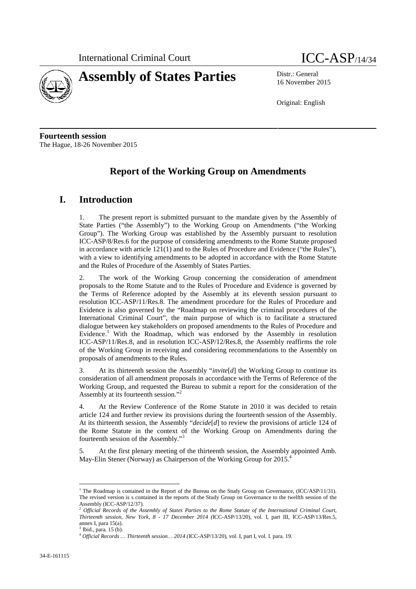



16 November 2015

Original: English

**Fourteenth session** The Hague, 18-26 November 2015

# **Report of the Working Group on Amendments**

## **I. Introduction**

1. The present report is submitted pursuant to the mandate given by the Assembly of State Parties ("the Assembly") to the Working Group on Amendments ("the Working Group"). The Working Group was established by the Assembly pursuant to resolution ICC-ASP/8/Res.6 for the purpose of considering amendments to the Rome Statute proposed in accordance with article 121(1) and to the Rules of Procedure and Evidence ("the Rules"), with a view to identifying amendments to be adopted in accordance with the Rome Statute and the Rules of Procedure of the Assembly of States Parties.

2. The work of the Working Group concerning the consideration of amendment proposals to the Rome Statute and to the Rules of Procedure and Evidence is governed by the Terms of Reference adopted by the Assembly at its eleventh session pursuant to resolution ICC-ASP/11/Res.8. The amendment procedure for the Rules of Procedure and Evidence is also governed by the "Roadmap on reviewing the criminal procedures of the International Criminal Court", the main purpose of which is to facilitate a structured dialogue between key stakeholders on proposed amendments to the Rules of Procedure and Evidence.<sup>1</sup> With the Roadmap, which was endorsed by the Assembly in resolution ICC-ASP/11/Res.8, and in resolution ICC-ASP/12/Res.8, the Assembly reaffirms the role of the Working Group in receiving and considering recommendations to the Assembly on proposals of amendments to the Rules.

3. At its thirteenth session the Assembly "*invite*[*d*] the Working Group to continue its consideration of all amendment proposals in accordance with the Terms of Reference of the Working Group, and requested the Bureau to submit a report for the consideration of the Assembly at its fourteenth session."<sup>2</sup>

4. At the Review Conference of the Rome Statute in 2010 it was decided to retain article 124 and further review its provisions during the fourteenth session of the Assembly. At its thirteenth session, the Assembly "*decide*[*d*] to review the provisions of article 124 of the Rome Statute in the context of the Working Group on Amendments during the fourteenth session of the Assembly."<sup>3</sup>

5. At the first plenary meeting of the thirteenth session, the Assembly appointed Amb. May-Elin Stener (Norway) as Chairperson of the Working Group for 2015.

<sup>&</sup>lt;sup>1</sup> The Roadmap is contained in the Report of the Bureau on the Study Group on Governance, (ICC/ASP/11/31). The revised version is s contained in the reports of the Study Group on Governance to the twelfth session of the Assembly (ICC-ASP/12/37).

<sup>2</sup> *Official Records of the Assembly of States Parties to the Rome Statute of the International Criminal Court, Thirteenth session, New York, 8 - 17 December 2014 (*ICC-ASP/13/20), vol. I, part III, ICC-ASP/13/Res.5, annex I, para 15(a).

<sup>3</sup> Ibid., para. 15 (b). <sup>4</sup> *Official Records … Thirteenth session… 2014 (*ICC-ASP/13/20), vol. I, part I, vol. I. para. 19.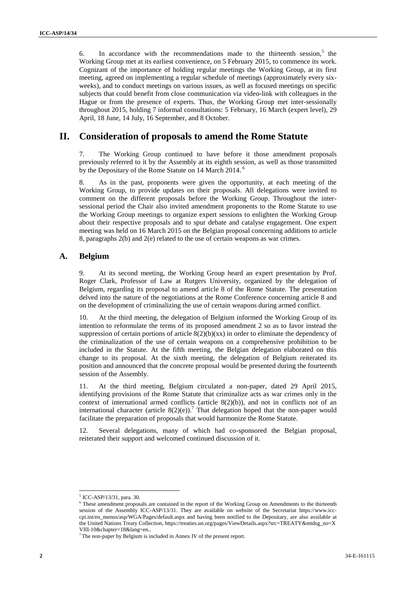6. In accordance with the recommendations made to the thirteenth session,  $5$  the Working Group met at its earliest convenience, on 5 February 2015, to commence its work. Cognizant of the importance of holding regular meetings the Working Group, at its first meeting, agreed on implementing a regular schedule of meetings (approximately every six weeks), and to conduct meetings on various issues, as well as focused meetings on specific subjects that could benefit from close communication via video-link with colleagues in the Hague or from the presence of experts. Thus, the Working Group met inter-sessionally throughout 2015, holding 7 informal consultations: 5 February, 16 March (expert level), 29 April, 18 June, 14 July, 16 September, and 8 October.

## **II. Consideration of proposals to amend the Rome Statute**

7. The Working Group continued to have before it those amendment proposals previously referred to it by the Assembly at its eighth session, as well as those transmitted by the Depositary of the Rome Statute on 14 March 2014.<sup>6</sup>

8. As in the past, proponents were given the opportunity, at each meeting of the Working Group, to provide updates on their proposals. All delegations were invited to comment on the different proposals before the Working Group. Throughout the inter sessional period the Chair also invited amendment proponents to the Rome Statute to use the Working Group meetings to organize expert sessions to enlighten the Working Group about their respective proposals and to spur debate and catalyse engagement. One expert meeting was held on 16 March 2015 on the Belgian proposal concerning additions to article 8, paragraphs 2(b) and 2(e) related to the use of certain weapons as war crimes.

#### **A. Belgium**

9. At its second meeting, the Working Group heard an expert presentation by Prof. Roger Clark, Professor of Law at Rutgers University, organized by the delegation of Belgium, regarding its proposal to amend article 8 of the Rome Statute. The presentation delved into the nature of the negotiations at the Rome Conference concerning article 8 and on the development of criminalizing the use of certain weapons during armed conflict.

10. At the third meeting, the delegation of Belgium informed the Working Group of its intention to reformulate the terms of its proposed amendment 2 so as to favor instead the suppression of certain portions of article  $8(2)(b)(xx)$  in order to eliminate the dependency of the criminalization of the use of certain weapons on a comprehensive prohibition to be included in the Statute. At the fifth meeting, the Belgian delegation elaborated on this change to its proposal. At the sixth meeting, the delegation of Belgium reiterated its position and announced that the concrete proposal would be presented during the fourteenth session of the Assembly.

11. At the third meeting, Belgium circulated a non-paper, dated 29 April 2015, identifying provisions of the Rome Statute that criminalize acts as war crimes only in the context of international armed conflicts (article  $8(2)(b)$ ), and not in conflicts not of an international character (article  $8(2)(e)$ ).<sup>7</sup> That delegation hoped that the non-paper would facilitate the preparation of proposals that would harmonize the Rome Statute.

12. Several delegations, many of which had co-sponsored the Belgian proposal, reiterated their support and welcomed continued discussion of it.

<sup>5</sup> ICC-ASP/13/31, para. 30.

<sup>&</sup>lt;sup>6</sup> These amendment proposals are contained in the report of the Working Group on Amendments to the thirteenth session of the Assembly ICC-ASP/13/31. They are available on website of the Secretariat https://www.icc cpi.int/en\_menus/asp/WGA/Pages/default.aspx and having been notified to the Depositary, are also available at the United Nations Treaty Collection, https://treaties.un.org/pages/ViewDetails.aspx?src=TREATY&mtdsg\_no=X VIII-10&chapter=18&lang=en.. <sup>7</sup> The non-paper by Belgium is included in Annex IV of the present report.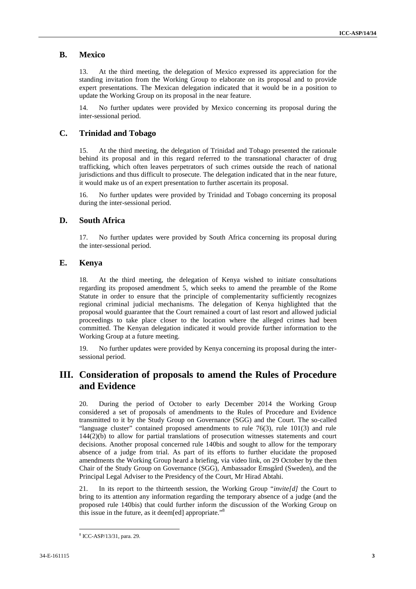#### **B. Mexico**

13. At the third meeting, the delegation of Mexico expressed its appreciation for the standing invitation from the Working Group to elaborate on its proposal and to provide expert presentations. The Mexican delegation indicated that it would be in a position to update the Working Group on its proposal in the near feature.

14. No further updates were provided by Mexico concerning its proposal during the inter-sessional period.

#### **C. Trinidad and Tobago**

15. At the third meeting, the delegation of Trinidad and Tobago presented the rationale behind its proposal and in this regard referred to the transnational character of drug trafficking, which often leaves perpetrators of such crimes outside the reach of national jurisdictions and thus difficult to prosecute. The delegation indicated that in the near future, it would make us of an expert presentation to further ascertain its proposal.

16. No further updates were provided by Trinidad and Tobago concerning its proposal during the inter-sessional period.

#### **D. South Africa**

17. No further updates were provided by South Africa concerning its proposal during the inter-sessional period.

#### **E. Kenya**

18. At the third meeting, the delegation of Kenya wished to initiate consultations regarding its proposed amendment 5, which seeks to amend the preamble of the Rome Statute in order to ensure that the principle of complementarity sufficiently recognizes regional criminal judicial mechanisms. The delegation of Kenya highlighted that the proposal would guarantee that the Court remained a court of last resort and allowed judicial proceedings to take place closer to the location where the alleged crimes had been committed. The Kenyan delegation indicated it would provide further information to the Working Group at a future meeting.

19. No further updates were provided by Kenya concerning its proposal during the inter sessional period.

## **III. Consideration of proposals to amend the Rules of Procedure and Evidence**

20. During the period of October to early December 2014 the Working Group considered a set of proposals of amendments to the Rules of Procedure and Evidence transmitted to it by the Study Group on Governance (SGG) and the Court. The so-called "language cluster" contained proposed amendments to rule 76(3), rule 101(3) and rule 144(2)(b) to allow for partial translations of prosecution witnesses statements and court decisions. Another proposal concerned rule 140bis and sought to allow for the temporary absence of a judge from trial. As part of its efforts to further elucidate the proposed amendments the Working Group heard a briefing, via video link, on 29 October by the then Chair of the Study Group on Governance (SGG), Ambassador Emsgård (Sweden), and the Principal Legal Adviser to the Presidency of the Court, Mr Hirad Abtahi.

21. In its report to the thirteenth session, the Working Group "*invite[d]* the Court to bring to its attention any information regarding the temporary absence of a judge (and the proposed rule 140bis) that could further inform the discussion of the Working Group on this issue in the future, as it deem[ed] appropriate."<sup>8</sup>

<sup>8</sup> ICC-ASP/13/31, para. 29.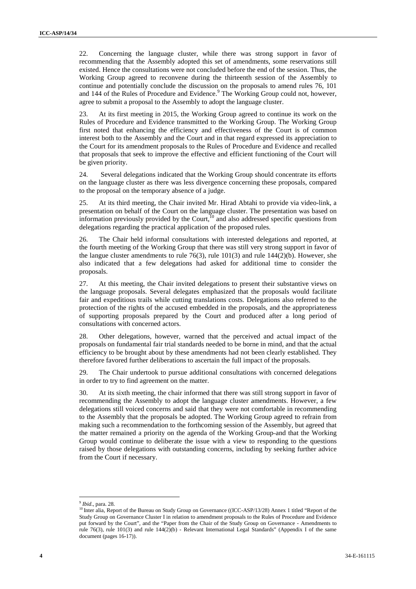22. Concerning the language cluster, while there was strong support in favor of recommending that the Assembly adopted this set of amendments, some reservations still existed. Hence the consultations were not concluded before the end of the session. Thus, the Working Group agreed to reconvene during the thirteenth session of the Assembly to continue and potentially conclude the discussion on the proposals to amend rules 76, 101 and 144 of the Rules of Procedure and Evidence.<sup>9</sup> The Working Group could not, however, agree to submit a proposal to the Assembly to adopt the language cluster.

23. At its first meeting in 2015, the Working Group agreed to continue its work on the Rules of Procedure and Evidence transmitted to the Working Group. The Working Group first noted that enhancing the efficiency and effectiveness of the Court is of common interest both to the Assembly and the Court and in that regard expressed its appreciation to the Court for its amendment proposals to the Rules of Procedure and Evidence and recalled that proposals that seek to improve the effective and efficient functioning of the Court will be given priority.

24. Several delegations indicated that the Working Group should concentrate its efforts on the language cluster as there was less divergence concerning these proposals, compared to the proposal on the temporary absence of a judge.

25. At its third meeting, the Chair invited Mr. Hirad Abtahi to provide via video-link, a presentation on behalf of the Court on the language cluster. The presentation was based on information previously provided by the Court,<sup>10</sup> and also addressed specific questions from delegations regarding the practical application of the proposed rules.

26. The Chair held informal consultations with interested delegations and reported, at the fourth meeting of the Working Group that there was still very strong support in favor of the langue cluster amendments to rule 76(3), rule 101(3) and rule 144(2)(b). However, she also indicated that a few delegations had asked for additional time to consider the proposals.

27. At this meeting, the Chair invited delegations to present their substantive views on the language proposals. Several delegates emphasized that the proposals would facilitate fair and expeditious trails while cutting translations costs. Delegations also referred to the protection of the rights of the accused embedded in the proposals, and the appropriateness of supporting proposals prepared by the Court and produced after a long period of consultations with concerned actors.

28. Other delegations, however, warned that the perceived and actual impact of the proposals on fundamental fair trial standards needed to be borne in mind, and that the actual efficiency to be brought about by these amendments had not been clearly established. They therefore favored further deliberations to ascertain the full impact of the proposals.

29. The Chair undertook to pursue additional consultations with concerned delegations in order to try to find agreement on the matter.

30. At its sixth meeting, the chair informed that there was still strong support in favor of recommending the Assembly to adopt the language cluster amendments. However, a few delegations still voiced concerns and said that they were not comfortable in recommending to the Assembly that the proposals be adopted. The Working Group agreed to refrain from making such a recommendation to the forthcoming session of the Assembly, but agreed that the matter remained a priority on the agenda of the Working Group and that the Working Group would continue to deliberate the issue with a view to responding to the questions raised by those delegations with outstanding concerns, including by seeking further advice from the Court if necessary.

<sup>9</sup> *Ibid.*, para. 28.

<sup>&</sup>lt;sup>10</sup> Inter alia, Report of the Bureau on Study Group on Governance ((ICC-ASP/13/28) Annex 1 titled "Report of the Study Group on Governance Cluster I in relation to amendment proposals to the Rules of Procedure and Evidence put forward by the Court", and the "Paper from the Chair of the Study Group on Governance - Amendments to rule 76(3), rule 101(3) and rule 144(2)(b) - Relevant International Legal Standards" (Appendix I of the same document (pages 16-17)).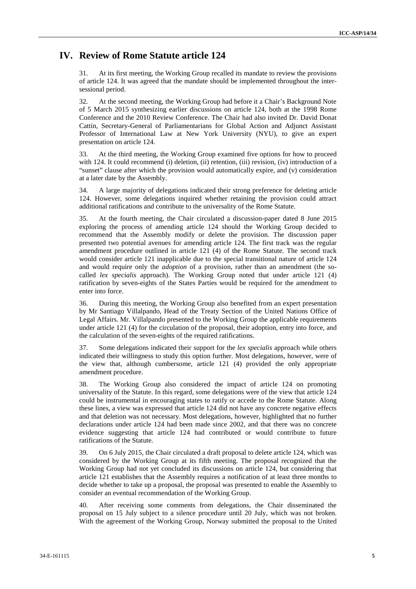### **IV. Review of Rome Statute article 124**

31. At its first meeting, the Working Group recalled its mandate to review the provisions of article 124. It was agreed that the mandate should be implemented throughout the inter sessional period.

32. At the second meeting, the Working Group had before it a Chair's Background Note of 5 March 2015 synthesizing earlier discussions on article 124, both at the 1998 Rome Conference and the 2010 Review Conference. The Chair had also invited Dr. David Donat Cattin, Secretary-General of Parliamentarians for Global Action and Adjunct Assistant Professor of International Law at New York University (NYU), to give an expert presentation on article 124.

33. At the third meeting, the Working Group examined five options for how to proceed with 124. It could recommend (i) deletion, (ii) retention, (iii) revision, (iv) introduction of a "sunset" clause after which the provision would automatically expire, and (v) consideration at a later date by the Assembly.

34. A large majority of delegations indicated their strong preference for deleting article 124. However, some delegations inquired whether retaining the provision could attract additional ratifications and contribute to the universality of the Rome Statute.

35. At the fourth meeting, the Chair circulated a discussion-paper dated 8 June 2015 exploring the process of amending article 124 should the Working Group decided to recommend that the Assembly modify or delete the provision. The discussion paper presented two potential avenues for amending article 124. The first track was the regular amendment procedure outlined in article 121 (4) of the Rome Statute. The second track would consider article 121 inapplicable due to the special transitional nature of article 124 and would require only the *adoption* of a provision, rather than an amendment (the so called *lex specialis* approach). The Working Group noted that under article 121 (4) ratification by seven-eights of the States Parties would be required for the amendment to enter into force.

36. During this meeting, the Working Group also benefited from an expert presentation by Mr Santiago Villalpando, Head of the Treaty Section of the United Nations Office of Legal Affairs. Mr. Villalpando presented to the Working Group the applicable requirements under article 121 (4) for the circulation of the proposal, their adoption, entry into force, and the calculation of the seven-eights of the required ratifications.

37. Some delegations indicated their support for the *lex specialis* approach while others indicated their willingness to study this option further. Most delegations, however, were of the view that, although cumbersome, article 121 (4) provided the only appropriate amendment procedure.

38. The Working Group also considered the impact of article 124 on promoting universality of the Statute. In this regard, some delegations were of the view that article 124 could be instrumental in encouraging states to ratify or accede to the Rome Statute. Along these lines, a view was expressed that article 124 did not have any concrete negative effects and that deletion was not necessary. Most delegations, however, highlighted that no further declarations under article 124 had been made since 2002, and that there was no concrete evidence suggesting that article 124 had contributed or would contribute to future ratifications of the Statute.

39. On 6 July 2015, the Chair circulated a draft proposal to delete article 124, which was considered by the Working Group at its fifth meeting. The proposal recognized that the Working Group had not yet concluded its discussions on article 124, but considering that article 121 establishes that the Assembly requires a notification of at least three months to decide whether to take up a proposal, the proposal was presented to enable the Assembly to consider an eventual recommendation of the Working Group.

40. After receiving some comments from delegations, the Chair disseminated the proposal on 15 July subject to a silence procedure until 20 July, which was not broken. With the agreement of the Working Group, Norway submitted the proposal to the United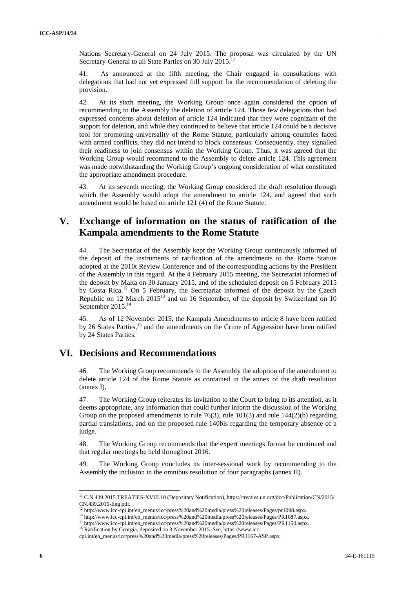Nations Secretary-General on 24 July 2015. The proposal was circulated by the UN Secretary-General to all State Parties on 30 July 2015.

41. As announced at the fifth meeting, the Chair engaged in consultations with delegations that had not yet expressed full support for the recommendation of deleting the provision.

42. At its sixth meeting, the Working Group once again considered the option of recommending to the Assembly the deletion of article 124. Those few delegations that had expressed concerns about deletion of article 124 indicated that they were cognizant of the support for deletion, and while they continued to believe that article 124 could be a decisive tool for promoting universality of the Rome Statute, particularly among countries faced with armed conflicts, they did not intend to block consensus. Consequently, they signalled their readiness to join consensus within the Working Group. Thus, it was agreed that the Working Group would recommend to the Assembly to delete article 124. This agreement was made notwithstanding the Working Group's ongoing consideration of what constituted the appropriate amendment procedure.

43. At its seventh meeting, the Working Group considered the draft resolution through which the Assembly would adopt the amendment to article 124, and agreed that such amendment would be based on article 121 (4) of the Rome Statute.

## **V. Exchange of information on the status of ratification of the Kampala amendments to the Rome Statute**

44. The Secretariat of the Assembly kept the Working Group continuously informed of the deposit of the instruments of ratification of the amendments to the Rome Statute adopted at the 2010t Review Conference and of the corresponding actions by the President of the Assembly in this regard. At the 4 February 2015 meeting, the Secretariat informed of the deposit by Malta on 30 January 2015, and of the scheduled deposit on 5 February 2015 by Costa Rica.<sup>12</sup> On 5 February, the Secretariat informed of the deposit by the Czech Republic on 12 March 2015<sup>13</sup> and on 16 September, of the deposit by Switzerland on 10 September 2015.<sup>14</sup>

45. As of 12 November 2015, the Kampala Amendments to article 8 have been ratified by 26 States Parties,<sup>15</sup> and the amendments on the Crime of Aggression have been ratified by 24 States Parties.

## **VI. Decisions and Recommendations**

46. The Working Group recommends to the Assembly the adoption of the amendment to delete article 124 of the Rome Statute as contained in the annex of the draft resolution (annex I),

47. The Working Group reiterates its invitation to the Court to bring to its attention, as it deems appropriate, any information that could further inform the discussion of the Working Group on the proposed amendments to rule  $76(3)$ , rule  $101(3)$  and rule  $144(2)(b)$  regarding partial translations, and on the proposed rule 140bis regarding the temporary absence of a judge.

48. The Working Group recommends that the expert meetings format be continued and that regular meetings be held throughout 2016.

49. The Working Group concludes its inter-sessional work by recommending to the Assembly the inclusion in the omnibus resolution of four paragraphs (annex II).

<sup>11</sup> C.N.439.2015.TREATIES-XVIII.10 (Depositary Notification), https://treaties.un.org/doc/Publication/CN/2015/ CN.439.2015-Eng.pdf.<br><sup>12</sup> http://www.icc-cpi.int/en\_menus/icc/press%20and%20media/press%20releases/Pages/pr1098.aspx.

<sup>13</sup> http://www.icc-cpi.int/en\_menus/icc/press%20and%20media/press%20releases/Pages/PR1087.aspx.

<sup>&</sup>lt;sup>14</sup> http://www.icc-cpi.int/en\_menus/icc/press%20and%20media/press%20releases/Pages/PR1150.aspx.

<sup>&</sup>lt;sup>15</sup> Ratification by Georgia, deposited on 3 November 2015. See, https://www.icc-

cpi.int/en\_menus/icc/press%20and%20media/press%20releases/Pages/PR1167-ASP.aspx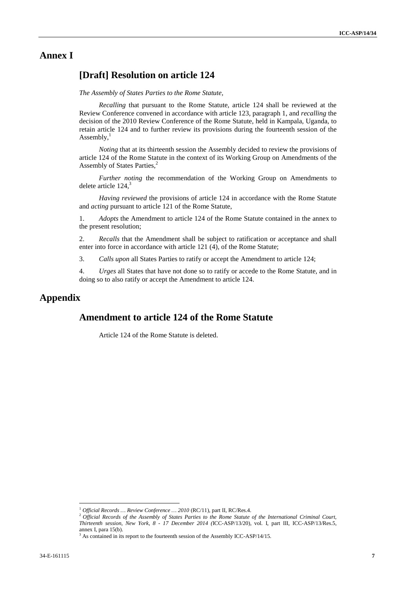## **Annex I**

#### **[Draft] Resolution on article 124**

*The Assembly of States Parties to the Rome Statute,*

*Recalling* that pursuant to the Rome Statute, article 124 shall be reviewed at the Review Conference convened in accordance with article 123, paragraph 1, and *recalling* the decision of the 2010 Review Conference of the Rome Statute, held in Kampala, Uganda, to retain article 124 and to further review its provisions during the fourteenth session of the Assembly, $<sup>1</sup>$ </sup>

*Noting* that at its thirteenth session the Assembly decided to review the provisions of article 124 of the Rome Statute in the context of its Working Group on Amendments of the Assembly of States Parties.<sup>2</sup>

*Further noting* the recommendation of the Working Group on Amendments to delete article  $124$ ,<sup>3</sup>

*Having reviewed* the provisions of article 124 in accordance with the Rome Statute and *acting* pursuant to article 121 of the Rome Statute,

1. *Adopts* the Amendment to article 124 of the Rome Statute contained in the annex to the present resolution;

2. *Recalls* that the Amendment shall be subject to ratification or acceptance and shall enter into force in accordance with article 121 (4), of the Rome Statute;

3. *Calls upon* all States Parties to ratify or accept the Amendment to article 124;

4. *Urges* all States that have not done so to ratify or accede to the Rome Statute, and in doing so to also ratify or accept the Amendment to article 124.

## **Appendix**

## **Amendment to article 124 of the Rome Statute**

Article 124 of the Rome Statute is deleted.

<sup>&</sup>lt;sup>1</sup> *Official Records … Review Conference … 2010* (RC/11), part II, RC/Res.4.<br><sup>2</sup> *Official Records of the Assembly of States Parties to the Rome Statute of the International Criminal Court*, *Thirteenth session, New York, 8 - 17 December 2014 (*ICC-ASP/13/20), vol. I, part III, ICC-ASP/13/Res.5,

 $3$  As contained in its report to the fourteenth session of the Assembly ICC-ASP/14/15.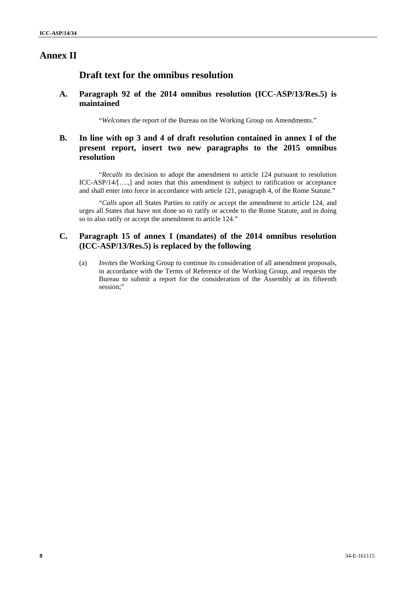## **Annex II**

### **Draft text for the omnibus resolution**

#### **A. Paragraph 92 of the 2014 omnibus resolution (ICC-ASP/13/Res.5) is maintained**

"*Welcomes* the report of the Bureau on the Working Group on Amendments."

#### **B. In line with op 3 and 4 of draft resolution contained in annex I of the present report, insert two new paragraphs to the 2015 omnibus resolution**

"*Recalls* its decision to adopt the amendment to article 124 pursuant to resolution ICC-ASP/14/[….,] and notes that this amendment is subject to ratification or acceptance and shall enter into force in accordance with article 121, paragraph 4, of the Rome Statute."

"*Calls upon* all States Parties to ratify or accept the amendment to article 124, and urges all States that have not done so to ratify or accede to the Rome Statute, and in doing so to also ratify or accept the amendment to article 124."

#### **C. Paragraph 15 of annex I (mandates) of the 2014 omnibus resolution (ICC-ASP/13/Res.5) is replaced by the following**

(a) *Invites* the Working Group to continue its consideration of all amendment proposals, in accordance with the Terms of Reference of the Working Group, and requests the Bureau to submit a report for the consideration of the Assembly at its fifteenth session:"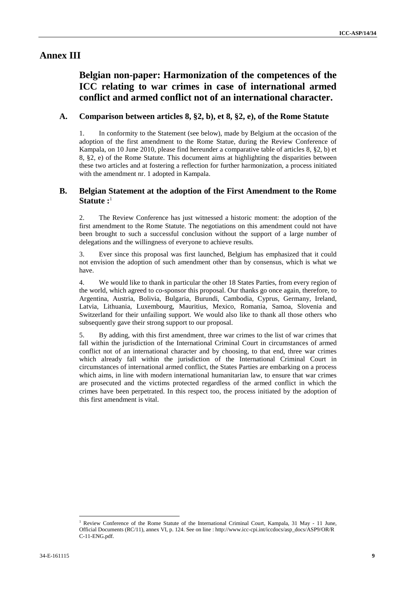#### **Annex III**

# **Belgian non-paper: Harmonization of the competences of the ICC relating to war crimes in case of international armed conflict and armed conflict not of an international character.**

#### **A. Comparison between articles 8, §2, b), et 8, §2, e), of the Rome Statute**

1. In conformity to the Statement (see below), made by Belgium at the occasion of the adoption of the first amendment to the Rome Statue, during the Review Conference of Kampala, on 10 June 2010, please find hereunder a comparative table of articles 8, §2, b) et 8, §2, e) of the Rome Statute. This document aims at highlighting the disparities between these two articles and at fostering a reflection for further harmonization, a process initiated with the amendment nr. 1 adopted in Kampala.

#### **B. Belgian Statement at the adoption of the First Amendment to the Rome Statute :** 1

2. The Review Conference has just witnessed a historic moment: the adoption of the first amendment to the Rome Statute. The negotiations on this amendment could not have been brought to such a successful conclusion without the support of a large number of delegations and the willingness of everyone to achieve results.

3. Ever since this proposal was first launched, Belgium has emphasized that it could not envision the adoption of such amendment other than by consensus, which is what we have.

4. We would like to thank in particular the other 18 States Parties, from every region of the world, which agreed to co-sponsor this proposal. Our thanks go once again, therefore, to Argentina, Austria, Bolivia, Bulgaria, Burundi, Cambodia, Cyprus, Germany, Ireland, Latvia, Lithuania, Luxembourg, Mauritius, Mexico, Romania, Samoa, Slovenia and Switzerland for their unfailing support. We would also like to thank all those others who subsequently gave their strong support to our proposal.

5. By adding, with this first amendment, three war crimes to the list of war crimes that fall within the jurisdiction of the International Criminal Court in circumstances of armed conflict not of an international character and by choosing, to that end, three war crimes which already fall within the jurisdiction of the International Criminal Court in circumstances of international armed conflict, the States Parties are embarking on a process which aims, in line with modern international humanitarian law, to ensure that war crimes are prosecuted and the victims protected regardless of the armed conflict in which the crimes have been perpetrated. In this respect too, the process initiated by the adoption of this first amendment is vital.

<sup>&</sup>lt;sup>1</sup> Review Conference of the Rome Statute of the International Criminal Court, Kampala, 31 May - 11 June, Official Documents (RC/11), annex VI, p. 124. See on line : http://www.icc-cpi.int/iccdocs/asp\_docs/ASP9/OR/R C-11-ENG.pdf.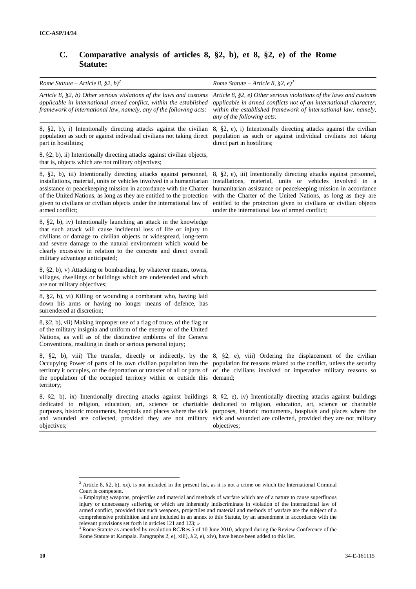### **C. Comparative analysis of articles 8, §2, b), et 8, §2, e) of the Rome Statute:**

| Rome Statute – Article 8, §2, b) <sup>2</sup>                                                                                                                                                                                                                                                                                                                                                                                                                                                     | Rome Statute – Article 8, §2, $e^{j^3}$                                                                                                                                                                                                                                                                                                                                               |
|---------------------------------------------------------------------------------------------------------------------------------------------------------------------------------------------------------------------------------------------------------------------------------------------------------------------------------------------------------------------------------------------------------------------------------------------------------------------------------------------------|---------------------------------------------------------------------------------------------------------------------------------------------------------------------------------------------------------------------------------------------------------------------------------------------------------------------------------------------------------------------------------------|
| Article 8, $\S2$ , b) Other serious violations of the laws and customs<br>applicable in international armed conflict, within the established<br>framework of international law, namely, any of the following acts:                                                                                                                                                                                                                                                                                | Article 8, $\S2$ , e) Other serious violations of the laws and customs<br>applicable in armed conflicts not of an international character,<br>within the established framework of international law, namely,<br>any of the following acts:                                                                                                                                            |
| 8, §2, b), i) Intentionally directing attacks against the civilian<br>population as such or against individual civilians not taking direct<br>part in hostilities;                                                                                                                                                                                                                                                                                                                                | 8, §2, e), i) Intentionally directing attacks against the civilian<br>population as such or against individual civilians not taking<br>direct part in hostilities;                                                                                                                                                                                                                    |
| 8, §2, b), ii) Intentionally directing attacks against civilian objects,<br>that is, objects which are not military objectives;                                                                                                                                                                                                                                                                                                                                                                   |                                                                                                                                                                                                                                                                                                                                                                                       |
| 8, §2, b), iii) Intentionally directing attacks against personnel,<br>installations, material, units or vehicles involved in a humanitarian<br>assistance or peacekeeping mission in accordance with the Charter<br>of the United Nations, as long as they are entitled to the protection<br>given to civilians or civilian objects under the international law of<br>armed conflict;                                                                                                             | 8, §2, e), iii) Intentionally directing attacks against personnel,<br>installations, material, units or vehicles involved in a<br>humanitarian assistance or peacekeeping mission in accordance<br>with the Charter of the United Nations, as long as they are<br>entitled to the protection given to civilians or civilian objects<br>under the international law of armed conflict; |
| 8, §2, b), iv) Intentionally launching an attack in the knowledge<br>that such attack will cause incidental loss of life or injury to<br>civilians or damage to civilian objects or widespread, long-term<br>and severe damage to the natural environment which would be<br>clearly excessive in relation to the concrete and direct overall<br>military advantage anticipated;                                                                                                                   |                                                                                                                                                                                                                                                                                                                                                                                       |
| 8, §2, b), v) Attacking or bombarding, by whatever means, towns,<br>villages, dwellings or buildings which are undefended and which<br>are not military objectives;                                                                                                                                                                                                                                                                                                                               |                                                                                                                                                                                                                                                                                                                                                                                       |
| 8, §2, b), vi) Killing or wounding a combatant who, having laid<br>down his arms or having no longer means of defence, has<br>surrendered at discretion;                                                                                                                                                                                                                                                                                                                                          |                                                                                                                                                                                                                                                                                                                                                                                       |
| 8, §2, b), vii) Making improper use of a flag of truce, of the flag or<br>of the military insignia and uniform of the enemy or of the United<br>Nations, as well as of the distinctive emblems of the Geneva<br>Conventions, resulting in death or serious personal injury;                                                                                                                                                                                                                       |                                                                                                                                                                                                                                                                                                                                                                                       |
| 8, §2, b), viii) The transfer, directly or indirectly, by the 8, §2, e), viii) Ordering the displacement of the civilian<br>Occupying Power of parts of its own civilian population into the population for reasons related to the conflict, unless the security<br>territory it occupies, or the deportation or transfer of all or parts of of the civilians involved or imperative military reasons so<br>the population of the occupied territory within or outside this demand;<br>territory; |                                                                                                                                                                                                                                                                                                                                                                                       |
| 8, §2, b), ix) Intentionally directing attacks against buildings 8, §2, e), iv) Intentionally directing attacks against buildings<br>dedicated to religion, education, art, science or charitable dedicated to religion, education, art, science or charitable<br>purposes, historic monuments, hospitals and places where the sick purposes, historic monuments, hospitals and places where the<br>and wounded are collected, provided they are not military<br>objectives;                      | sick and wounded are collected, provided they are not military<br>objectives;                                                                                                                                                                                                                                                                                                         |

<sup>&</sup>lt;sup>2</sup> Article 8, §2, b), xx), is not included in the present list, as it is not a crime on which the International Criminal Court is competent.

*<sup>«</sup>* Employing weapons, projectiles and material and methods of warfare which are of a nature to cause superfluous injury or unnecessary suffering or which are inherently indiscriminate in violation of the international law of armed conflict, provided that such weapons, projectiles and material and methods of warfare are the subject of a comprehensive prohibition and are included in an annex to this Statute, by an amendment in accordance with the relevant provisions set forth in articles 121 and 123; *»*

<sup>&</sup>lt;sup>3</sup> Rome Statute as amended by resolution RC/Res.5 of 10 June 2010, adopted during the Review Conference of the Rome Statute at Kampala. Paragraphs 2, e), xiii), à 2, e), xiv), have hence been added to this list.